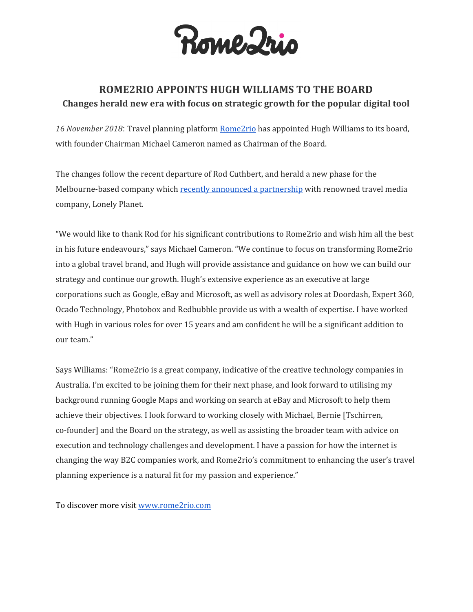

## **ROME2RIO APPOINTS HUGH WILLIAMS TO THE BOARD Changes herald new era with focus on strategic growth for the popular digital tool**

*16 November 2018*: Travel planning platform [Rome2rio](https://www.rome2rio.com/) has appointed Hugh Williams to its board, with founder Chairman Michael Cameron named as Chairman of the Board.

The changes follow the recent departure of Rod Cuthbert, and herald a new phase for the Melbourne-based company which recently announced a [partnership](https://www.rome2rio.com/press/) with renowned travel media company, Lonely Planet.

"We would like to thank Rod for his significant contributions to Rome2rio and wish him all the best in his future endeavours," says Michael Cameron. "We continue to focus on transforming Rome2rio into a global travel brand, and Hugh will provide assistance and guidance on how we can build our strategy and continue our growth. Hugh's extensive experience as an executive at large corporations such as Google, eBay and Microsoft, as well as advisory roles at Doordash, Expert 360, Ocado Technology, Photobox and Redbubble provide us with a wealth of expertise. I have worked with Hugh in various roles for over 15 years and am confident he will be a significant addition to our team."

Says Williams: "Rome2rio is a great company, indicative of the creative technology companies in Australia. I'm excited to be joining them for their next phase, and look forward to utilising my background running Google Maps and working on search at eBay and Microsoft to help them achieve their objectives. I look forward to working closely with Michael, Bernie [Tschirren, co-founder] and the Board on the strategy, as well as assisting the broader team with advice on execution and technology challenges and development. I have a passion for how the internet is changing the way B2C companies work, and Rome2rio's commitment to enhancing the user's travel planning experience is a natural fit for my passion and experience."

To discover more visit [www.rome2rio.com](http://www.rome2rio.com/)